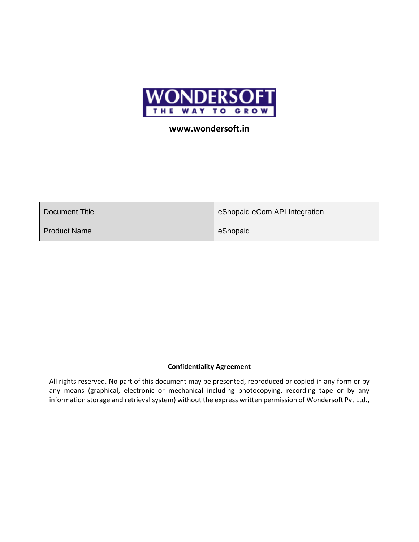

## **www.wondersoft.in**

| Document Title      | eShopaid eCom API Integration |  |  |
|---------------------|-------------------------------|--|--|
| <b>Product Name</b> | eShopaid                      |  |  |

## **Confidentiality Agreement**

All rights reserved. No part of this document may be presented, reproduced or copied in any form or by any means (graphical, electronic or mechanical including photocopying, recording tape or by any information storage and retrieval system) without the express written permission of Wondersoft Pvt Ltd.,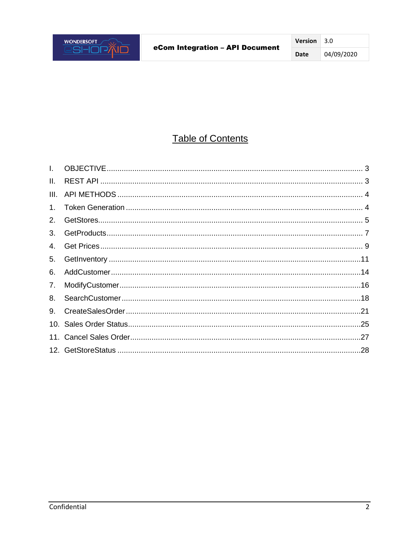# **Table of Contents**

| L.      |  |
|---------|--|
| II.     |  |
| III.    |  |
| $1_{-}$ |  |
| 2.      |  |
| 3.      |  |
| 4.      |  |
| 5.      |  |
| 6.      |  |
| 7.      |  |
| 8.      |  |
| 9.      |  |
|         |  |
|         |  |
|         |  |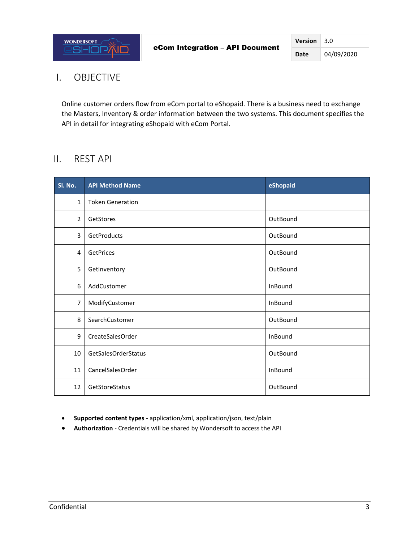## <span id="page-2-0"></span>I. OBJECTIVE

Online customer orders flow from eCom portal to eShopaid. There is a business need to exchange the Masters, Inventory & order information between the two systems. This document specifies the API in detail for integrating eShopaid with eCom Portal.

## <span id="page-2-1"></span>II. REST API

| Sl. No.        | <b>API Method Name</b>  | eShopaid |
|----------------|-------------------------|----------|
| $\mathbf{1}$   | <b>Token Generation</b> |          |
| 2              | GetStores               | OutBound |
| 3              | GetProducts             | OutBound |
| 4              | GetPrices               | OutBound |
| 5              | GetInventory            | OutBound |
| 6              | AddCustomer             | InBound  |
| $\overline{7}$ | ModifyCustomer          | InBound  |
| 8              | SearchCustomer          | OutBound |
| 9              | CreateSalesOrder        | InBound  |
| 10             | GetSalesOrderStatus     | OutBound |
| 11             | CancelSalesOrder        | InBound  |
| 12             | GetStoreStatus          | OutBound |

- **Supported content types -** application/xml, application/json, text/plain
- **Authorization** Credentials will be shared by Wondersoft to access the API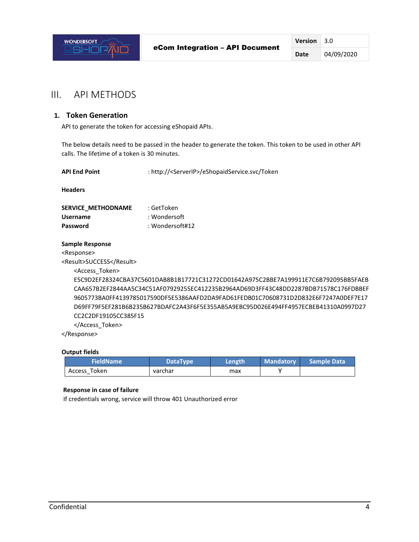

## <span id="page-3-0"></span>III. API METHODS

## <span id="page-3-1"></span>**1. Token Generation**

API to generate the token for accessing eShopaid APIs.

The below details need to be passed in the header to generate the token. This token to be used in other API calls. The lifetime of a token is 30 minutes.

| : http:// <serverip>/eShopaidService.svc/Token<br/><b>API End Point</b></serverip> |                                                                                     |  |  |  |
|------------------------------------------------------------------------------------|-------------------------------------------------------------------------------------|--|--|--|
| <b>Headers</b>                                                                     |                                                                                     |  |  |  |
| SERVICE METHODNAME                                                                 | : GetToken                                                                          |  |  |  |
| <b>Username</b>                                                                    | : Wondersoft                                                                        |  |  |  |
| Password                                                                           | : Wondersoft#12                                                                     |  |  |  |
| Sample Response                                                                    |                                                                                     |  |  |  |
| <response></response>                                                              |                                                                                     |  |  |  |
| <result>SUCCESS</result>                                                           |                                                                                     |  |  |  |
| <access token=""></access>                                                         |                                                                                     |  |  |  |
|                                                                                    | E5C9D2EF28324CBA37C5601DAB8B1B17721C31272CD01642A975C2BBE7A199911E7C6B792095BB5FAEB |  |  |  |
|                                                                                    | CAA657B2EF2844AA5C34C51AF07929255EC412235B2964AD69D3FF43C48DD2287BDB71578C176FDBBEF |  |  |  |
|                                                                                    | 9605773BA0FF4139785017590DF5E5386AAFD2DA9FAD61FEDB01C70608731D2D832E6F7247A0DEF7E17 |  |  |  |
|                                                                                    | D69FF79F5EF281B6B235B627BDAFC2A43F6F5E355AB5A9EBC95D026E494FF4957ECBEB41310A0997D27 |  |  |  |
| CC2C2D54O4C5C22C574F                                                               |                                                                                     |  |  |  |

CC2C2DF19105CC385F15

</Access\_Token>

</Response>

#### **Output fields**

| <b>FieldName</b><br><b>DataType</b> |  | Length | <b>Mandatory</b> | Sample Data |
|-------------------------------------|--|--------|------------------|-------------|
| Access Token<br>varchar             |  | max    |                  |             |

#### **Response in case of failure**

If credentials wrong, service will throw 401 Unauthorized error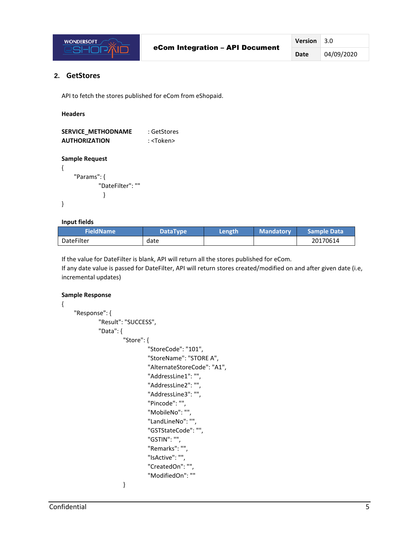

## <span id="page-4-0"></span>**2. GetStores**

API to fetch the stores published for eCom from eShopaid.

#### **Headers**

{

}

{

| <b>SERVICE METHODNAME</b> | : GetStores       |
|---------------------------|-------------------|
| <b>AUTHORIZATION</b>      | : <token></token> |

### **Sample Request**

"Params": { "DateFilter": "" }

### **Input fields**

| FieldName         | <b>DataType</b> | Length | <b>Mandatory</b> | Sample Data |
|-------------------|-----------------|--------|------------------|-------------|
| <b>DateFilter</b> | date            |        |                  | 20170614    |

If the value for DateFilter is blank, API will return all the stores published for eCom.

If any date value is passed for DateFilter, API will return stores created/modified on and after given date (i.e, incremental updates)

## **Sample Response**

```
"Response": {
         "Result": "SUCCESS",
         "Data": {
                 "Store": {
                          "StoreCode": "101",
                          "StoreName": "STORE A",
                          "AlternateStoreCode": "A1",
                          "AddressLine1": "",
                          "AddressLine2": "",
                          "AddressLine3": "",
                          "Pincode": "",
                          "MobileNo": "",
                          "LandLineNo": "",
                          "GSTStateCode": "",
                          "GSTIN": "",
                          "Remarks": "",
                          "IsActive": "",
                          "CreatedOn": "",
                          "ModifiedOn": ""
                 }
```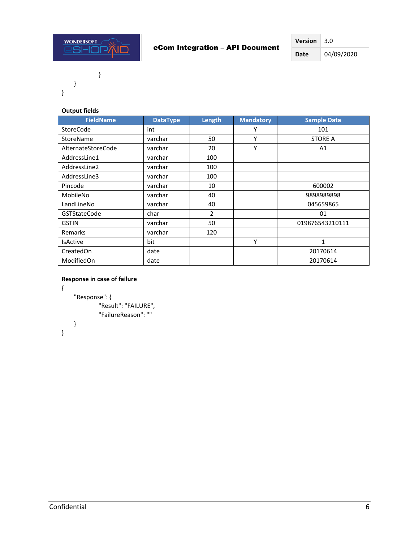

}

}

}

## **Output fields**

| <b>FieldName</b>    | <b>DataType</b> | Length         | <b>Mandatory</b> | <b>Sample Data</b> |
|---------------------|-----------------|----------------|------------------|--------------------|
| StoreCode           | int             |                | Υ                | 101                |
| StoreName           | varchar         | 50             | Υ                | <b>STORE A</b>     |
| AlternateStoreCode  | varchar         | 20             | Υ                | A1                 |
| AddressLine1        | varchar         | 100            |                  |                    |
| AddressLine2        | varchar         | 100            |                  |                    |
| AddressLine3        | varchar         | 100            |                  |                    |
| Pincode             | varchar         | 10             |                  | 600002             |
| MobileNo            | varchar         | 40             |                  | 9898989898         |
| LandLineNo          | varchar         | 40             |                  | 045659865          |
| <b>GSTStateCode</b> | char            | $\overline{2}$ |                  | 01                 |
| <b>GSTIN</b>        | varchar         | 50             |                  | 019876543210111    |
| <b>Remarks</b>      | varchar         | 120            |                  |                    |
| <b>IsActive</b>     | bit             |                | Υ                | $\mathbf{1}$       |
| CreatedOn           | date            |                |                  | 20170614           |
| ModifiedOn          | date            |                |                  | 20170614           |

## **Response in case of failure**

```
"Response": {
        "Result": "FAILURE",
        "FailureReason": ""
}
```
}

{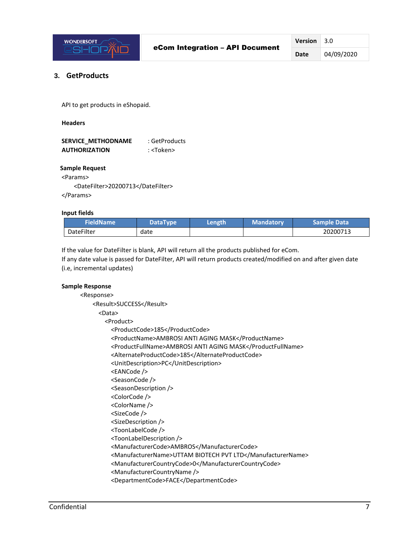

## <span id="page-6-0"></span>**3. GetProducts**

API to get products in eShopaid.

 **Headers**

| <b>SERVICE METHODNAME</b> | : GetProducts     |
|---------------------------|-------------------|
| <b>AUTHORIZATION</b>      | : <token></token> |

#### **Sample Request**

<Params>

<DateFilter>20200713</DateFilter> </Params>

#### **Input fields**

| <b>FieldName</b>  | <b>DataType</b> | Length | <b>Mandatory</b> | <b>Sample Data</b> ' |
|-------------------|-----------------|--------|------------------|----------------------|
| <b>DateFilter</b> | date            |        |                  | 20200713             |

If the value for DateFilter is blank, API will return all the products published for eCom.

If any date value is passed for DateFilter, API will return products created/modified on and after given date (i.e, incremental updates)

## **Sample Response**

| <response></response> |                                                            |
|-----------------------|------------------------------------------------------------|
|                       | <result>SUCCESS</result>                                   |
| <data></data>         |                                                            |
|                       | <product></product>                                        |
|                       | <productcode>185</productcode>                             |
|                       | <productname>AMBROSI ANTI AGING MASK</productname>         |
|                       | <productfullname>AMBROSI ANTI AGING MASK</productfullname> |
|                       | <alternateproductcode>185</alternateproductcode>           |
|                       | <unitdescription>PC</unitdescription>                      |
|                       | <eancode></eancode>                                        |
|                       | <seasoncode></seasoncode>                                  |
|                       | <seasondescription></seasondescription>                    |
|                       | <colorcode></colorcode>                                    |
|                       | <colorname></colorname>                                    |
|                       | <sizecode></sizecode>                                      |
|                       | <sizedescription></sizedescription>                        |
|                       | <toonlabelcode></toonlabelcode>                            |
|                       | <toonlabeldescription></toonlabeldescription>              |
|                       | <manufacturercode>AMBROS</manufacturercode>                |
|                       | <manufacturername>UTTAM BIOTECH PVT LTD</manufacturername> |
|                       | <manufacturercountrycode>0</manufacturercountrycode>       |
|                       | <manufacturercountryname></manufacturercountryname>        |
|                       | <departmentcode>FACE</departmentcode>                      |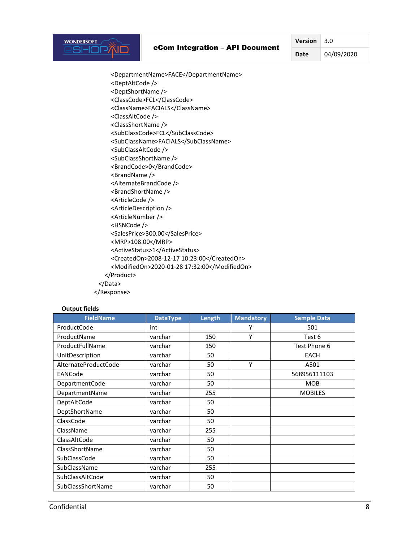### eCom Integration – API Document

**Version** 3.0

**Date** 04/09/2020

 <DepartmentName>FACE</DepartmentName> <DeptAltCode /> <DeptShortName /> <ClassCode>FCL</ClassCode> <ClassName>FACIALS</ClassName> <ClassAltCode /> <ClassShortName /> <SubClassCode>FCL</SubClassCode> <SubClassName>FACIALS</SubClassName> <SubClassAltCode /> <SubClassShortName /> <BrandCode>0</BrandCode> <BrandName /> <AlternateBrandCode /> <BrandShortName /> <ArticleCode /> <ArticleDescription /> <ArticleNumber /> <HSNCode /> <SalesPrice>300.00</SalesPrice> <MRP>108.00</MRP> <ActiveStatus>1</ActiveStatus> <CreatedOn>2008-12-17 10:23:00</CreatedOn> <ModifiedOn>2020-01-28 17:32:00</ModifiedOn> </Product> </Data> </Response>

#### **Output fields**

**WONDERSOFT** 

**:SHOPAID** 

| <b>FieldName</b>     | <b>DataType</b> | Length | <b>Mandatory</b> | <b>Sample Data</b> |
|----------------------|-----------------|--------|------------------|--------------------|
| ProductCode          | int             |        | Υ                | 501                |
| ProductName          | varchar         | 150    | Y                | Test 6             |
| ProductFullName      | varchar         | 150    |                  | Test Phone 6       |
| UnitDescription      | varchar         | 50     |                  | EACH               |
| AlternateProductCode | varchar         | 50     | Y                | A501               |
| EANCode              | varchar         | 50     |                  | 568956111103       |
| DepartmentCode       | varchar         | 50     |                  | <b>MOB</b>         |
| DepartmentName       | varchar         | 255    |                  | <b>MOBILES</b>     |
| DeptAltCode          | varchar         | 50     |                  |                    |
| DeptShortName        | varchar         | 50     |                  |                    |
| ClassCode            | varchar         | 50     |                  |                    |
| ClassName            | varchar         | 255    |                  |                    |
| ClassAltCode         | varchar         | 50     |                  |                    |
| ClassShortName       | varchar         | 50     |                  |                    |
| SubClassCode         | varchar         | 50     |                  |                    |
| SubClassName         | varchar         | 255    |                  |                    |
| SubClassAltCode      | varchar         | 50     |                  |                    |
| SubClassShortName    | varchar         | 50     |                  |                    |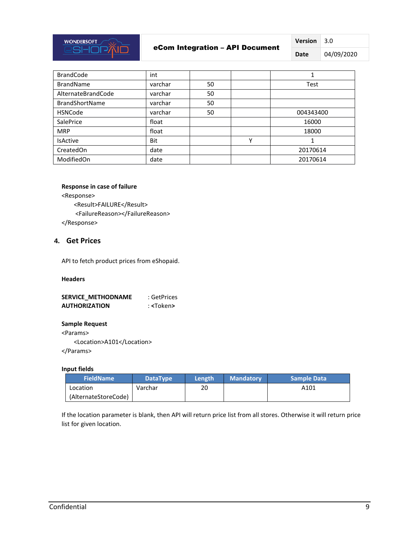

## eCom Integration – API Document

**Version** 3.0

**Date** 04/09/2020

| <b>BrandCode</b>      | int     |    |   |           |
|-----------------------|---------|----|---|-----------|
| <b>BrandName</b>      | varchar | 50 |   | Test      |
| AlternateBrandCode    | varchar | 50 |   |           |
| <b>BrandShortName</b> | varchar | 50 |   |           |
| <b>HSNCode</b>        | varchar | 50 |   | 004343400 |
| <b>SalePrice</b>      | float   |    |   | 16000     |
| <b>MRP</b>            | float   |    |   | 18000     |
| <b>IsActive</b>       | Bit     |    | Υ |           |
| CreatedOn             | date    |    |   | 20170614  |
| ModifiedOn            | date    |    |   | 20170614  |

#### **Response in case of failure**

<Response> <Result>FAILURE</Result> <FailureReason></FailureReason> </Response>

## <span id="page-8-0"></span>**4. Get Prices**

API to fetch product prices from eShopaid.

## **Headers**

| <b>SERVICE METHODNAME</b> | : GetPrices       |
|---------------------------|-------------------|
| <b>AUTHORIZATION</b>      | : <token></token> |

### **Sample Request**

<Params> <Location>A101</Location>

</Params>

## **Input fields**

| <b>FieldName</b>     | DataType | Length | <b>Mandatory</b> | <b>Sample Data</b> |
|----------------------|----------|--------|------------------|--------------------|
| Location             | Varchar  | 20     |                  | A101               |
| (AlternateStoreCode) |          |        |                  |                    |

If the location parameter is blank, then API will return price list from all stores. Otherwise it will return price list for given location.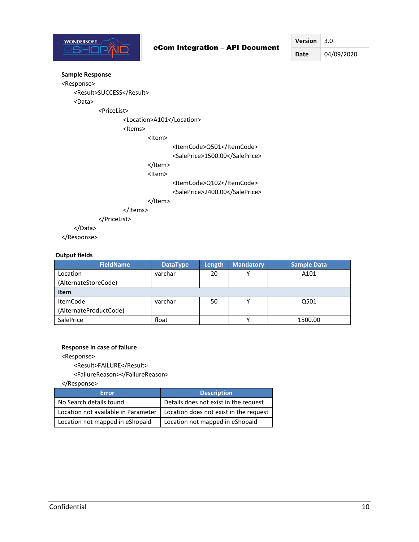

**Date** 04/09/2020

## **Sample Response**

<Response> <Result>SUCCESS</Result> <Data> <PriceList> <Location>A101</Location> <Items> <Item> <ItemCode>Q501</ItemCode> <SalePrice>1500.00</SalePrice> </Item> <Item> <ItemCode>Q102</ItemCode> <SalePrice>2400.00</SalePrice> </Item> </Items> </PriceList> </Data> </Response>

#### **Output fields**

| <b>FieldName</b>       | <b>DataType</b> | Length | <b>Mandatory</b> | Sample Data |
|------------------------|-----------------|--------|------------------|-------------|
| Location               | varchar         | 20     |                  | A101        |
| (AlternateStoreCode)   |                 |        |                  |             |
| <b>Item</b>            |                 |        |                  |             |
| <b>ItemCode</b>        | varchar         | 50     |                  | Q501        |
| (AlternateProductCode) |                 |        |                  |             |
| <b>SalePrice</b>       | float           |        |                  | 1500.00     |

#### **Response in case of failure**

<Response>

<Result>FAILURE</Result>

<FailureReason></FailureReason>

</Response>

| <b>Error</b>                        | <b>Description</b>                     |
|-------------------------------------|----------------------------------------|
| No Search details found             | Details does not exist in the request  |
| Location not available in Parameter | Location does not exist in the request |
| Location not mapped in eShopaid     | Location not mapped in eShopaid        |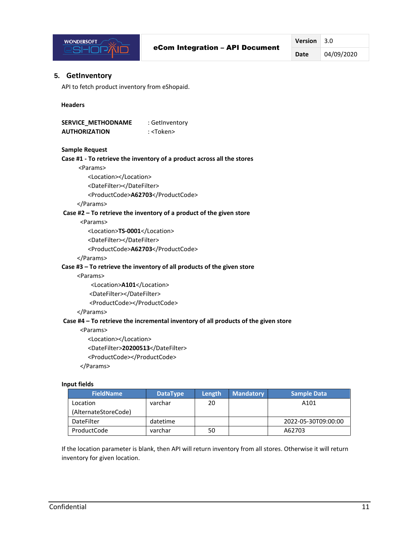

**Date** 04/09/2020

## <span id="page-10-0"></span>**5. GetInventory**

API to fetch product inventory from eShopaid.

#### **Headers**

**SERVICE\_METHODNAME** : GetInventory  **AUTHORIZATION** : <Token>

#### **Sample Request**

```
Case #1 - To retrieve the inventory of a product across all the stores
      <Params>
          <Location></Location>
          <DateFilter></DateFilter>
          <ProductCode>A62703</ProductCode>
      </Params>
Case #2 – To retrieve the inventory of a product of the given store
       <Params>
          <Location>TS-0001</Location>
          <DateFilter></DateFilter>
          <ProductCode>A62703</ProductCode>
      </Params>
Case #3 – To retrieve the inventory of all products of the given store
      <Params>
           <Location>A101</Location>
          <DateFilter></DateFilter>
          <ProductCode></ProductCode>
      </Params>
```
#### **Case #4 – To retrieve the incremental inventory of all products of the given store**

<Params>

<Location></Location>

<DateFilter>**20200513**</DateFilter>

<ProductCode></ProductCode>

</Params>

#### **Input fields**

| <b>FieldName</b>     | <b>DataType</b> | Length | <b>Mandatory</b> | <b>Sample Data</b>  |
|----------------------|-----------------|--------|------------------|---------------------|
| Location             | varchar         | 20     |                  | A101                |
| (AlternateStoreCode) |                 |        |                  |                     |
| DateFilter           | datetime        |        |                  | 2022-05-30T09:00:00 |
| ProductCode          | varchar         | 50     |                  | A62703              |

If the location parameter is blank, then API will return inventory from all stores. Otherwise it will return inventory for given location.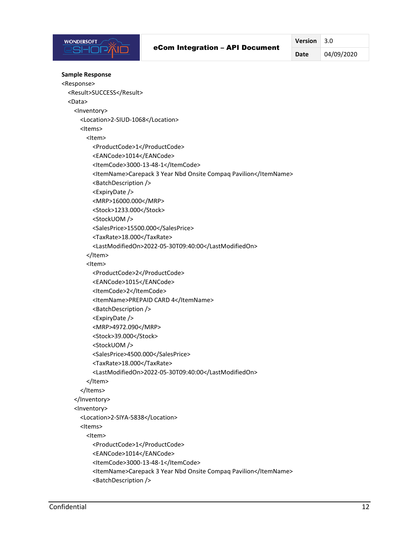

**Date** 04/09/2020

```
Sample Response
<Response>
  <Result>SUCCESS</Result>
  <Data>
    <Inventory>
       <Location>2-SIUD-1068</Location>
       <Items>
         <Item>
           <ProductCode>1</ProductCode>
           <EANCode>1014</EANCode>
           <ItemCode>3000-13-48-1</ItemCode>
           <ItemName>Carepack 3 Year Nbd Onsite Compaq Pavilion</ItemName>
           <BatchDescription />
           <ExpiryDate />
           <MRP>16000.000</MRP>
          <Stock>1233.000</Stock>
           <StockUOM />
           <SalesPrice>15500.000</SalesPrice>
           <TaxRate>18.000</TaxRate>
           <LastModifiedOn>2022-05-30T09:40:00</LastModifiedOn>
         </Item>
         <Item>
           <ProductCode>2</ProductCode>
           <EANCode>1015</EANCode>
           <ItemCode>2</ItemCode>
           <ItemName>PREPAID CARD 4</ItemName>
           <BatchDescription />
           <ExpiryDate />
           <MRP>4972.090</MRP>
           <Stock>39.000</Stock>
           <StockUOM />
           <SalesPrice>4500.000</SalesPrice>
           <TaxRate>18.000</TaxRate>
           <LastModifiedOn>2022-05-30T09:40:00</LastModifiedOn>
         </Item>
       </Items>
     </Inventory>
     <Inventory>
       <Location>2-SIYA-5838</Location>
       <Items>
         <Item>
           <ProductCode>1</ProductCode>
           <EANCode>1014</EANCode>
           <ItemCode>3000-13-48-1</ItemCode>
           <ItemName>Carepack 3 Year Nbd Onsite Compaq Pavilion</ItemName>
           <BatchDescription />
```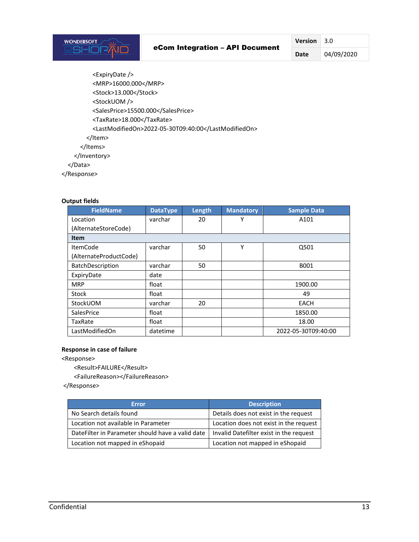**Date** 04/09/2020

 <ExpiryDate /> <MRP>16000.000</MRP> <Stock>13.000</Stock> <StockUOM /> <SalesPrice>15500.000</SalesPrice> <TaxRate>18.000</TaxRate> <LastModifiedOn>2022-05-30T09:40:00</LastModifiedOn> </Item> </Items> </Inventory> </Data> </Response>

### **Output fields**

| <b>FieldName</b>       | <b>DataType</b> | Length | <b>Mandatory</b> | <b>Sample Data</b>  |
|------------------------|-----------------|--------|------------------|---------------------|
| Location               | varchar         | 20     | Υ                | A101                |
| (AlternateStoreCode)   |                 |        |                  |                     |
| <b>Item</b>            |                 |        |                  |                     |
| <b>ItemCode</b>        | varchar         | 50     | Y                | Q501                |
| (AlternateProductCode) |                 |        |                  |                     |
| BatchDescription       | varchar         | 50     |                  | B001                |
| ExpiryDate             | date            |        |                  |                     |
| <b>MRP</b>             | float           |        |                  | 1900.00             |
| Stock                  | float           |        |                  | 49                  |
| StockUOM               | varchar         | 20     |                  | EACH                |
| <b>SalesPrice</b>      | float           |        |                  | 1850.00             |
| TaxRate                | float           |        |                  | 18.00               |
| LastModifiedOn         | datetime        |        |                  | 2022-05-30T09:40:00 |

#### **Response in case of failure**

<Response>

<Result>FAILURE</Result>

<FailureReason></FailureReason>

</Response>

| <b>Error</b>                                      | <b>Description</b>                      |
|---------------------------------------------------|-----------------------------------------|
| No Search details found                           | Details does not exist in the request   |
| Location not available in Parameter               | Location does not exist in the request  |
| Date Filter in Parameter should have a valid date | Invalid Datefilter exist in the request |
| Location not mapped in eShopaid                   | Location not mapped in eShopaid         |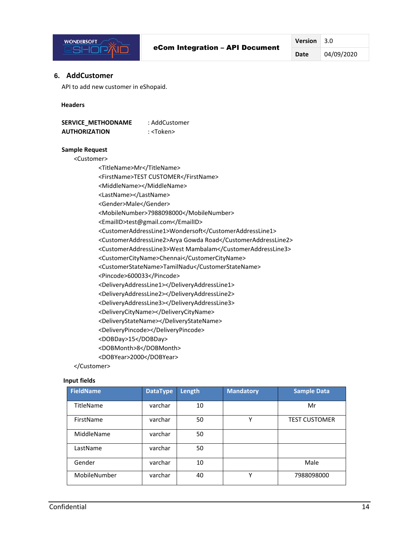

**Date** 04/09/2020

### <span id="page-13-0"></span>**6. AddCustomer**

API to add new customer in eShopaid.

#### **Headers**

| <b>SERVICE METHODNAME</b> | : AddCustomer     |
|---------------------------|-------------------|
| <b>AUTHORIZATION</b>      | : <token></token> |

#### **Sample Request**

<Customer>

<TitleName>Mr</TitleName> <FirstName>TEST CUSTOMER</FirstName> <MiddleName></MiddleName> <LastName></LastName> <Gender>Male</Gender> <MobileNumber>7988098000</MobileNumber> <EmailID>test@gmail.com</EmailID> <CustomerAddressLine1>Wondersoft</CustomerAddressLine1> <CustomerAddressLine2>Arya Gowda Road</CustomerAddressLine2> <CustomerAddressLine3>West Mambalam</CustomerAddressLine3> <CustomerCityName>Chennai</CustomerCityName> <CustomerStateName>TamilNadu</CustomerStateName> <Pincode>600033</Pincode> <DeliveryAddressLine1></DeliveryAddressLine1> <DeliveryAddressLine2></DeliveryAddressLine2> <DeliveryAddressLine3></DeliveryAddressLine3> <DeliveryCityName></DeliveryCityName> <DeliveryStateName></DeliveryStateName> <DeliveryPincode></DeliveryPincode> <DOBDay>15</DOBDay> <DOBMonth>8</DOBMonth> <DOBYear>2000</DOBYear>

</Customer>

#### **Input fields**

| <b>FieldName</b> | <b>DataType</b> | Length | <b>Mandatory</b> | <b>Sample Data</b>   |
|------------------|-----------------|--------|------------------|----------------------|
| TitleName        | varchar         | 10     |                  | Mr                   |
| FirstName        | varchar         | 50     | v                | <b>TEST CUSTOMER</b> |
| MiddleName       | varchar         | 50     |                  |                      |
| LastName         | varchar         | 50     |                  |                      |
| Gender           | varchar         | 10     |                  | Male                 |
| MobileNumber     | varchar         | 40     | v                | 7988098000           |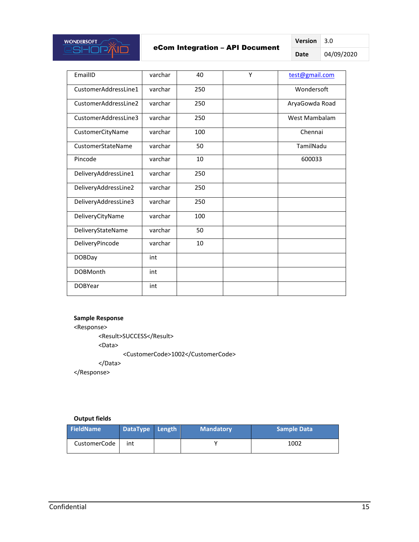

## eCom Integration – API Document

**Version** 3.0 **Date** 04/09/2020

| EmailID              | varchar | 40  | Υ | test@gmail.com |
|----------------------|---------|-----|---|----------------|
| CustomerAddressLine1 | varchar | 250 |   | Wondersoft     |
| CustomerAddressLine2 | varchar | 250 |   | AryaGowda Road |
| CustomerAddressLine3 | varchar | 250 |   | West Mambalam  |
| CustomerCityName     | varchar | 100 |   | Chennai        |
| CustomerStateName    | varchar | 50  |   | TamilNadu      |
| Pincode              | varchar | 10  |   | 600033         |
| DeliveryAddressLine1 | varchar | 250 |   |                |
| DeliveryAddressLine2 | varchar | 250 |   |                |
| DeliveryAddressLine3 | varchar | 250 |   |                |
| DeliveryCityName     | varchar | 100 |   |                |
| DeliveryStateName    | varchar | 50  |   |                |
| DeliveryPincode      | varchar | 10  |   |                |
| <b>DOBDay</b>        | int     |     |   |                |
| <b>DOBMonth</b>      | int     |     |   |                |
| <b>DOBYear</b>       | int     |     |   |                |

#### **Sample Response**

<Response>

<Result>SUCCESS</Result>

<Data>

<CustomerCode>1002</CustomerCode>

</Data>

</Response>

## **Output fields**

| <b>FieldName</b> | DataType Length | <b>Mandatory</b> | <b>Sample Data</b> |
|------------------|-----------------|------------------|--------------------|
| CustomerCode     | int             |                  | 1002               |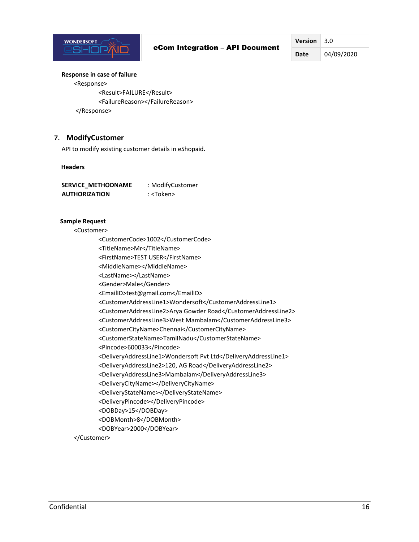

**Date** 04/09/2020

#### **Response in case of failure**

<Response> <Result>FAILURE</Result> <FailureReason></FailureReason> </Response>

## <span id="page-15-0"></span>**7. ModifyCustomer**

API to modify existing customer details in eShopaid.

#### **Headers**

| <b>SERVICE METHODNAME</b> | : ModifyCustomer  |
|---------------------------|-------------------|
| <b>AUTHORIZATION</b>      | : <token></token> |

#### **Sample Request**

<Customer>

<CustomerCode>1002</CustomerCode> <TitleName>Mr</TitleName>

<FirstName>TEST USER</FirstName>

- <MiddleName></MiddleName>
- <LastName></LastName>
- <Gender>Male</Gender>
- <EmailID>test@gmail.com</EmailID>
- <CustomerAddressLine1>Wondersoft</CustomerAddressLine1>
- <CustomerAddressLine2>Arya Gowder Road</CustomerAddressLine2>

<CustomerAddressLine3>West Mambalam</CustomerAddressLine3>

- <CustomerCityName>Chennai</CustomerCityName>
- <CustomerStateName>TamilNadu</CustomerStateName>
- <Pincode>600033</Pincode>

<DeliveryAddressLine1>Wondersoft Pvt Ltd</DeliveryAddressLine1>

- <DeliveryAddressLine2>120, AG Road</DeliveryAddressLine2>
- <DeliveryAddressLine3>Mambalam</DeliveryAddressLine3>
- <DeliveryCityName></DeliveryCityName>
- <DeliveryStateName></DeliveryStateName>
- <DeliveryPincode></DeliveryPincode>
- <DOBDay>15</DOBDay>
- <DOBMonth>8</DOBMonth>
- <DOBYear>2000</DOBYear>

</Customer>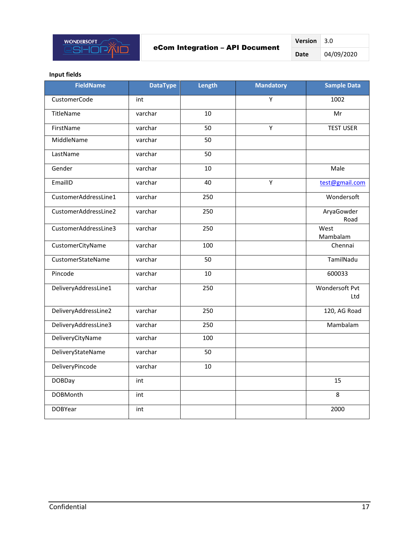

| <b>Version</b> | 3.0        |
|----------------|------------|
| Date           | 04/09/2020 |

## **Input fields**

| <b>FieldName</b>     | <b>DataType</b> | Length | <b>Mandatory</b> | <b>Sample Data</b>    |
|----------------------|-----------------|--------|------------------|-----------------------|
| CustomerCode         | int             |        | Υ                | 1002                  |
| TitleName            | varchar         | 10     |                  | Mr                    |
| FirstName            | varchar         | 50     | Y                | <b>TEST USER</b>      |
| MiddleName           | varchar         | 50     |                  |                       |
| LastName             | varchar         | 50     |                  |                       |
| Gender               | varchar         | 10     |                  | Male                  |
| EmailID              | varchar         | 40     | Y                | test@gmail.com        |
| CustomerAddressLine1 | varchar         | 250    |                  | Wondersoft            |
| CustomerAddressLine2 | varchar         | 250    |                  | AryaGowder<br>Road    |
| CustomerAddressLine3 | varchar         | 250    |                  | West<br>Mambalam      |
| CustomerCityName     | varchar         | 100    |                  | Chennai               |
| CustomerStateName    | varchar         | 50     |                  | TamilNadu             |
| Pincode              | varchar         | 10     |                  | 600033                |
| DeliveryAddressLine1 | varchar         | 250    |                  | Wondersoft Pvt<br>Ltd |
| DeliveryAddressLine2 | varchar         | 250    |                  | 120, AG Road          |
| DeliveryAddressLine3 | varchar         | 250    |                  | Mambalam              |
| DeliveryCityName     | varchar         | 100    |                  |                       |
| DeliveryStateName    | varchar         | 50     |                  |                       |
| DeliveryPincode      | varchar         | 10     |                  |                       |
| <b>DOBDay</b>        | int             |        |                  | 15                    |
| <b>DOBMonth</b>      | int             |        |                  | 8                     |
| <b>DOBYear</b>       | int             |        |                  | 2000                  |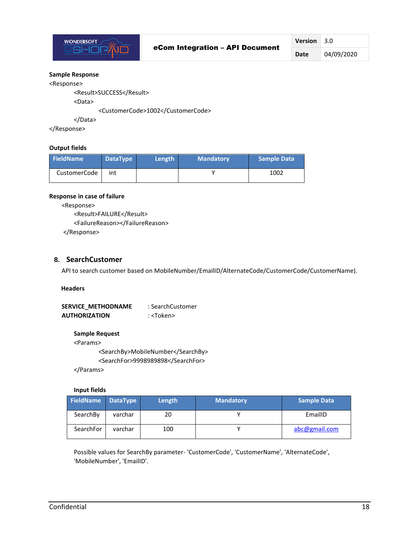

#### **Sample Response**

#### <Response>

<Result>SUCCESS</Result>

<Data>

<CustomerCode>1002</CustomerCode>

</Data>

</Response>

#### **Output fields**

| <b>FieldName</b> | DataType | Length | <b>Mandatory</b> | <b>Sample Data</b> |
|------------------|----------|--------|------------------|--------------------|
| CustomerCode     | int      |        |                  | 1002               |

#### **Response in case of failure**

<Response>

<Result>FAILURE</Result> <FailureReason></FailureReason> </Response>

## <span id="page-17-0"></span>**8. SearchCustomer**

API to search customer based on MobileNumber/EmailID/AlternateCode/CustomerCode/CustomerName).

 **Headers**

SERVICE METHODNAME : SearchCustomer  **AUTHORIZATION** : <Token>

#### **Sample Request**

<Params>

<SearchBy>MobileNumber</SearchBy> <SearchFor>9998989898</SearchFor>

</Params>

#### **Input fields**

| FieldName | DataType | Length | <b>Mandatory</b> | Sample Data   |
|-----------|----------|--------|------------------|---------------|
| SearchBy  | varchar  | 20     |                  | EmailID       |
| SearchFor | varchar  | 100    |                  | abc@gmail.com |

Possible values for SearchBy parameter- 'CustomerCode', 'CustomerName', 'AlternateCode', 'MobileNumber', 'EmailID'.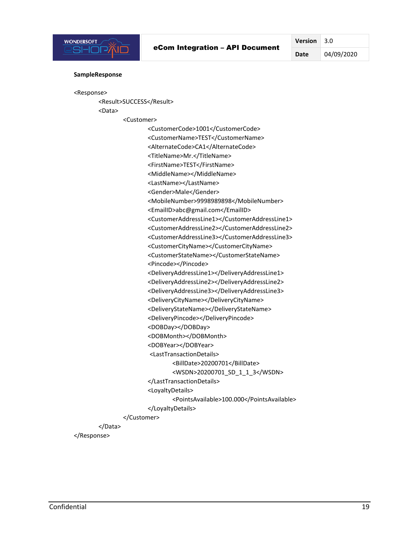

**Date** 04/09/2020

#### **SampleResponse**

```
<Response>
```
<Result>SUCCESS</Result> <Data>

<Customer>

<CustomerCode>1001</CustomerCode> <CustomerName>TEST</CustomerName> <AlternateCode>CA1</AlternateCode> <TitleName>Mr.</TitleName> <FirstName>TEST</FirstName> <MiddleName></MiddleName> <LastName></LastName> <Gender>Male</Gender> <MobileNumber>9998989898</MobileNumber> <EmailID>abc@gmail.com</EmailID> <CustomerAddressLine1></CustomerAddressLine1> <CustomerAddressLine2></CustomerAddressLine2> <CustomerAddressLine3></CustomerAddressLine3> <CustomerCityName></CustomerCityName> <CustomerStateName></CustomerStateName> <Pincode></Pincode> <DeliveryAddressLine1></DeliveryAddressLine1> <DeliveryAddressLine2></DeliveryAddressLine2> <DeliveryAddressLine3></DeliveryAddressLine3> <DeliveryCityName></DeliveryCityName> <DeliveryStateName></DeliveryStateName> <DeliveryPincode></DeliveryPincode> <DOBDay></DOBDay> <DOBMonth></DOBMonth> <DOBYear></DOBYear> <LastTransactionDetails> <BillDate>20200701</BillDate> <WSDN>20200701\_SD\_1\_1\_3</WSDN> </LastTransactionDetails> <LoyaltyDetails> <PointsAvailable>100.000</PointsAvailable> </LoyaltyDetails> </Customer> </Data> </Response>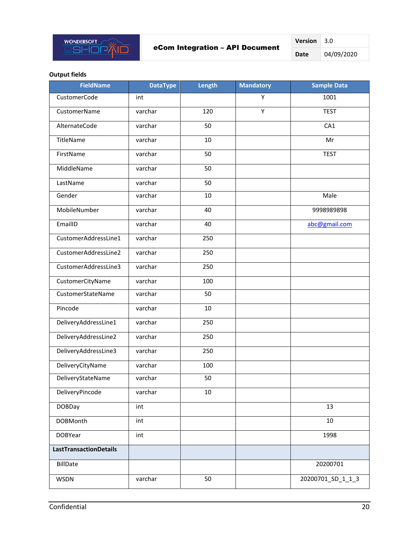

| Version | 3.O        |
|---------|------------|
| Date    | 04/09/2020 |

### **Output fields**

| <b>FieldName</b>              | <b>DataType</b> | Length | <b>Mandatory</b> | Sample Data       |
|-------------------------------|-----------------|--------|------------------|-------------------|
| CustomerCode                  | int             |        | Υ                | 1001              |
| <b>CustomerName</b>           | varchar         | 120    | Y                | <b>TEST</b>       |
| AlternateCode                 | varchar         | 50     |                  | CA1               |
| TitleName                     | varchar         | 10     |                  | Mr                |
| FirstName                     | varchar         | 50     |                  | <b>TEST</b>       |
| MiddleName                    | varchar         | 50     |                  |                   |
| LastName                      | varchar         | 50     |                  |                   |
| Gender                        | varchar         | 10     |                  | Male              |
| MobileNumber                  | varchar         | 40     |                  | 9998989898        |
| EmailID                       | varchar         | 40     |                  | abc@gmail.com     |
| CustomerAddressLine1          | varchar         | 250    |                  |                   |
| CustomerAddressLine2          | varchar         | 250    |                  |                   |
| CustomerAddressLine3          | varchar         | 250    |                  |                   |
| CustomerCityName              | varchar         | 100    |                  |                   |
| CustomerStateName             | varchar         | 50     |                  |                   |
| Pincode                       | varchar         | 10     |                  |                   |
| DeliveryAddressLine1          | varchar         | 250    |                  |                   |
| DeliveryAddressLine2          | varchar         | 250    |                  |                   |
| DeliveryAddressLine3          | varchar         | 250    |                  |                   |
| DeliveryCityName              | varchar         | 100    |                  |                   |
| DeliveryStateName             | varchar         | 50     |                  |                   |
| DeliveryPincode               | varchar         | $10\,$ |                  |                   |
| <b>DOBDay</b>                 | int             |        |                  | 13                |
| <b>DOBMonth</b>               | int             |        |                  | 10                |
| <b>DOBYear</b>                | int             |        |                  | 1998              |
| <b>LastTransactionDetails</b> |                 |        |                  |                   |
| BillDate                      |                 |        |                  | 20200701          |
| <b>WSDN</b>                   | varchar         | 50     |                  | 20200701_SD_1_1_3 |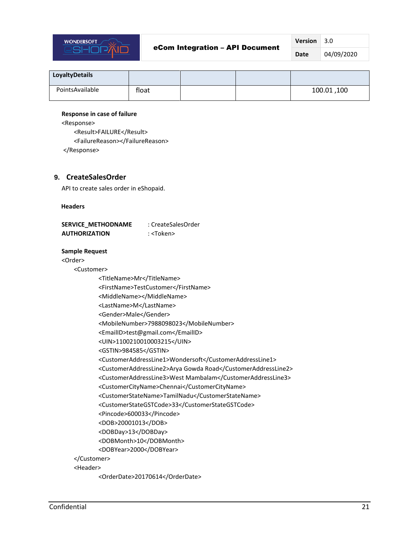

**Date** 04/09/2020

| <b>LoyaltyDetails</b> |       |  |             |
|-----------------------|-------|--|-------------|
| PointsAvailable       | float |  | 100.01, 100 |

#### **Response in case of failure**

<Response>

<Result>FAILURE</Result> <FailureReason></FailureReason> </Response>

<span id="page-20-0"></span>**9. CreateSalesOrder**

API to create sales order in eShopaid.

 **Headers**

| <b>SERVICE METHODNAME</b> | : CreateSalesOrder |
|---------------------------|--------------------|
| <b>AUTHORIZATION</b>      | : <token></token>  |

#### **Sample Request**

<Order>

- <Customer>
	- <TitleName>Mr</TitleName> <FirstName>TestCustomer</FirstName> <MiddleName></MiddleName> <LastName>M</LastName> <Gender>Male</Gender> <MobileNumber>7988098023</MobileNumber> <EmailID>test@gmail.com</EmailID> <UIN>1100210010003215</UIN> <GSTIN>984585</GSTIN> <CustomerAddressLine1>Wondersoft</CustomerAddressLine1> <CustomerAddressLine2>Arya Gowda Road</CustomerAddressLine2> <CustomerAddressLine3>West Mambalam</CustomerAddressLine3> <CustomerCityName>Chennai</CustomerCityName> <CustomerStateName>TamilNadu</CustomerStateName> <CustomerStateGSTCode>33</CustomerStateGSTCode> <Pincode>600033</Pincode> <DOB>20001013</DOB> <DOBDay>13</DOBDay> <DOBMonth>10</DOBMonth> <DOBYear>2000</DOBYear> </Customer> <Header>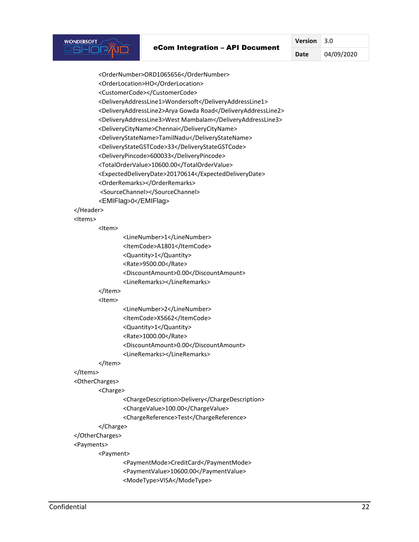#### eCom Integration – API Document

**Version** 3.0

**Date** 04/09/2020

<OrderNumber>ORD1065656</OrderNumber> <OrderLocation>HO</OrderLocation> <CustomerCode></CustomerCode> <DeliveryAddressLine1>Wondersoft</DeliveryAddressLine1> <DeliveryAddressLine2>Arya Gowda Road</DeliveryAddressLine2> <DeliveryAddressLine3>West Mambalam</DeliveryAddressLine3> <DeliveryCityName>Chennai</DeliveryCityName> <DeliveryStateName>TamilNadu</DeliveryStateName> <DeliveryStateGSTCode>33</DeliveryStateGSTCode> <DeliveryPincode>600033</DeliveryPincode> <TotalOrderValue>10600.00</TotalOrderValue> <ExpectedDeliveryDate>20170614</ExpectedDeliveryDate> <OrderRemarks></OrderRemarks> <SourceChannel></SourceChannel> <EMIFlag>0</EMIFlag> </Header> <Items> <Item> <LineNumber>1</LineNumber> <ItemCode>A1801</ItemCode> <Quantity>1</Quantity> <Rate>9500.00</Rate> <DiscountAmount>0.00</DiscountAmount> <LineRemarks></LineRemarks> </Item> <Item> <LineNumber>2</LineNumber> <ItemCode>X5662</ItemCode> <Quantity>1</Quantity> <Rate>1000.00</Rate> <DiscountAmount>0.00</DiscountAmount> <LineRemarks></LineRemarks> </Item> </Items> <OtherCharges> <Charge> <ChargeDescription>Delivery</ChargeDescription> <ChargeValue>100.00</ChargeValue> <ChargeReference>Test</ChargeReference> </Charge>

## </OtherCharges>

## <Payments>

**WONDERSOFT SHOP** 

<Payment>

<PaymentMode>CreditCard</PaymentMode> <PaymentValue>10600.00</PaymentValue> <ModeType>VISA</ModeType>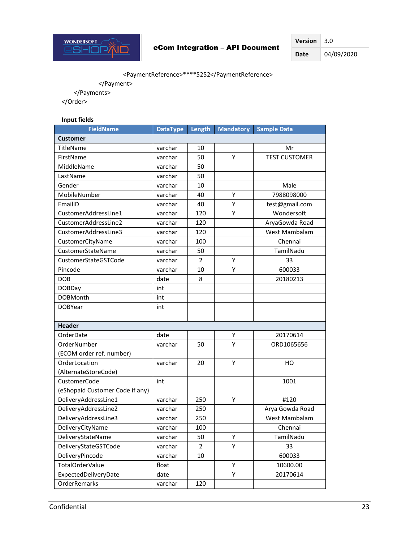

**Version** 3.0 **Date** 04/09/2020

## <PaymentReference>\*\*\*\*5252</PaymentReference>

</Payment>

</Payments>

</Order>

### **Input fields**

| <b>FieldName</b>                | <b>DataType</b> | Length | <b>Mandatory</b> | <b>Sample Data</b>   |
|---------------------------------|-----------------|--------|------------------|----------------------|
| Customer                        |                 |        |                  |                      |
| TitleName                       | varchar         | 10     |                  | Mr                   |
| FirstName                       | varchar         | 50     | Υ                | <b>TEST CUSTOMER</b> |
| MiddleName                      | varchar         | 50     |                  |                      |
| LastName                        | varchar         | 50     |                  |                      |
| Gender                          | varchar         | 10     |                  | Male                 |
| MobileNumber                    | varchar         | 40     | Υ                | 7988098000           |
| EmailID                         | varchar         | 40     | Y                | test@gmail.com       |
| CustomerAddressLine1            | varchar         | 120    | Υ                | Wondersoft           |
| CustomerAddressLine2            | varchar         | 120    |                  | AryaGowda Road       |
| CustomerAddressLine3            | varchar         | 120    |                  | West Mambalam        |
| CustomerCityName                | varchar         | 100    |                  | Chennai              |
| CustomerStateName               | varchar         | 50     |                  | TamilNadu            |
| CustomerStateGSTCode            | varchar         | 2      | Υ                | 33                   |
| Pincode                         | varchar         | 10     | Y                | 600033               |
| <b>DOB</b>                      | date            | 8      |                  | 20180213             |
| <b>DOBDay</b>                   | int             |        |                  |                      |
| <b>DOBMonth</b>                 | int             |        |                  |                      |
| <b>DOBYear</b>                  | int             |        |                  |                      |
|                                 |                 |        |                  |                      |
| <b>Header</b>                   |                 |        |                  |                      |
| OrderDate                       | date            |        | Υ                | 20170614             |
| OrderNumber                     | varchar         | 50     | Y                | ORD1065656           |
| (ECOM order ref. number)        |                 |        |                  |                      |
| OrderLocation                   | varchar         | 20     | Υ                | HO                   |
| (AlternateStoreCode)            |                 |        |                  |                      |
| CustomerCode                    | int             |        |                  | 1001                 |
| (eShopaid Customer Code if any) |                 |        |                  |                      |
| DeliveryAddressLine1            | varchar         | 250    | Υ                | #120                 |
| DeliveryAddressLine2            | varchar         | 250    |                  | Arya Gowda Road      |
| DeliveryAddressLine3            | varchar         | 250    |                  | West Mambalam        |
| DeliveryCityName                | varchar         | 100    |                  | Chennai              |
| DeliveryStateName               | varchar         | 50     | Υ                | TamilNadu            |
| DeliveryStateGSTCode            | varchar         | 2      | Y                | 33                   |
| DeliveryPincode                 | varchar         | 10     |                  | 600033               |
| TotalOrderValue                 | float           |        | Υ                | 10600.00             |
| ExpectedDeliveryDate            | date            |        | Υ                | 20170614             |
| OrderRemarks                    | varchar         | 120    |                  |                      |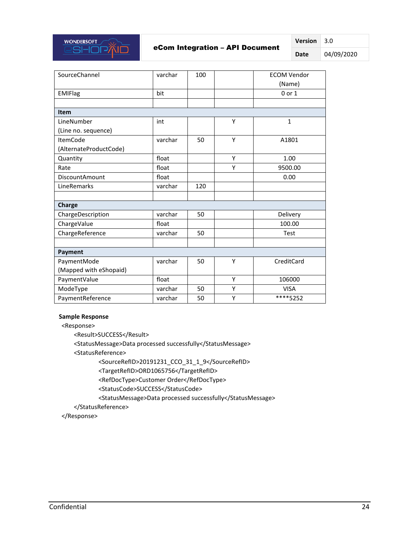

## eCom Integration – API Document

**Version** 3.0

**Date** 04/09/2020

| SourceChannel          | varchar | 100 |   | <b>ECOM Vendor</b><br>(Name) |
|------------------------|---------|-----|---|------------------------------|
| <b>EMIFlag</b>         | bit     |     |   | $0$ or $1$                   |
|                        |         |     |   |                              |
| <b>Item</b>            |         |     |   |                              |
| LineNumber             | int     |     | Y | $\mathbf{1}$                 |
| (Line no. sequence)    |         |     |   |                              |
| <b>ItemCode</b>        | varchar | 50  | Y | A1801                        |
| (AlternateProductCode) |         |     |   |                              |
| Quantity               | float   |     | Y | 1.00                         |
| Rate                   | float   |     | Υ | 9500.00                      |
| <b>DiscountAmount</b>  | float   |     |   | 0.00                         |
| LineRemarks            | varchar | 120 |   |                              |
|                        |         |     |   |                              |
| Charge                 |         |     |   |                              |
| ChargeDescription      | varchar | 50  |   | Delivery                     |
| ChargeValue            | float   |     |   | 100.00                       |
| ChargeReference        | varchar | 50  |   | Test                         |
|                        |         |     |   |                              |
| Payment                |         |     |   |                              |
| PaymentMode            | varchar | 50  | Υ | CreditCard                   |
| (Mapped with eShopaid) |         |     |   |                              |
| PaymentValue           | float   |     | Y | 106000                       |
| ModeType               | varchar | 50  | Υ | <b>VISA</b>                  |
| PaymentReference       | varchar | 50  | Υ | ****5252                     |

#### **Sample Response**

<Response>

<Result>SUCCESS</Result>

<StatusMessage>Data processed successfully</StatusMessage>

<StatusReference>

<SourceRefID>20191231\_CCO\_31\_1\_9</SourceRefID>

<TargetRefID>ORD1065756</TargetRefID>

<RefDocType>Customer Order</RefDocType>

<StatusCode>SUCCESS</StatusCode>

<StatusMessage>Data processed successfully</StatusMessage>

</StatusReference>

</Response>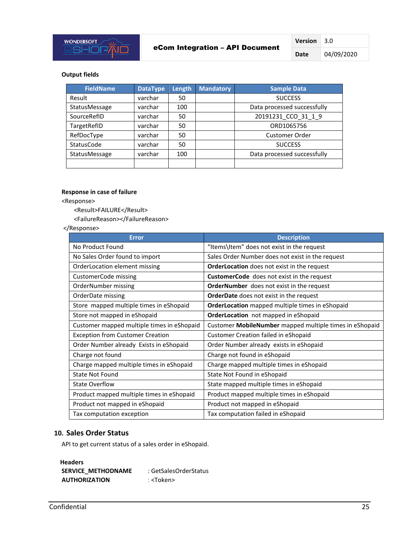

#### **Output fields**

| <b>FieldName</b>  | <b>DataType</b> | Length | <b>Mandatory</b> | <b>Sample Data</b>          |
|-------------------|-----------------|--------|------------------|-----------------------------|
| Result            | varchar         | 50     |                  | <b>SUCCESS</b>              |
| StatusMessage     | varchar         | 100    |                  | Data processed successfully |
| SourceRefID       | varchar         | 50     |                  | 20191231 CCO 31 1 9         |
| TargetRefID       | varchar         | 50     |                  | ORD1065756                  |
| RefDocType        | varchar         | 50     |                  | Customer Order              |
| <b>StatusCode</b> | varchar         | 50     |                  | <b>SUCCESS</b>              |
| StatusMessage     | varchar         | 100    |                  | Data processed successfully |
|                   |                 |        |                  |                             |

#### **Response in case of failure**

<Response>

<Result>FAILURE</Result>

<FailureReason></FailureReason>

#### </Response>

| <b>Error</b>                               | <b>Description</b>                                      |
|--------------------------------------------|---------------------------------------------------------|
| No Product Found                           | "Items\Item" does not exist in the request              |
| No Sales Order found to import             | Sales Order Number does not exist in the request        |
| OrderLocation element missing              | <b>OrderLocation</b> does not exist in the request      |
| CustomerCode missing                       | <b>CustomerCode</b> does not exist in the request       |
| OrderNumber missing                        | <b>OrderNumber</b> does not exist in the request        |
| OrderDate missing                          | <b>OrderDate</b> does not exist in the request          |
| Store mapped multiple times in eShopaid    | OrderLocation mapped multiple times in eShopaid         |
| Store not mapped in eShopaid               | OrderLocation not mapped in eShopaid                    |
| Customer mapped multiple times in eShopaid | Customer MobileNumber mapped multiple times in eShopaid |
| <b>Exception from Customer Creation</b>    | Customer Creation failed in eShopaid                    |
| Order Number already Exists in eShopaid    | Order Number already exists in eShopaid                 |
| Charge not found                           | Charge not found in eShopaid                            |
| Charge mapped multiple times in eShopaid   | Charge mapped multiple times in eShopaid                |
| <b>State Not Found</b>                     | State Not Found in eShopaid                             |
| <b>State Overflow</b>                      | State mapped multiple times in eShopaid                 |
| Product mapped multiple times in eShopaid  | Product mapped multiple times in eShopaid               |
| Product not mapped in eShopaid             | Product not mapped in eShopaid                          |
| Tax computation exception                  | Tax computation failed in eShopaid                      |

#### <span id="page-24-0"></span>**10. Sales Order Status**

API to get current status of a sales order in eShopaid.

| <b>Headers</b>            |                       |
|---------------------------|-----------------------|
| <b>SERVICE METHODNAME</b> | : GetSalesOrderStatus |
| <b>AUTHORIZATION</b>      | : <token></token>     |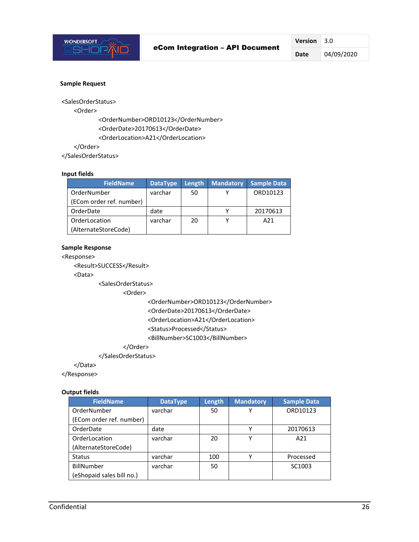

#### **Sample Request**

<SalesOrderStatus>

<Order>

<OrderNumber>ORD10123</OrderNumber> <OrderDate>20170613</OrderDate> <OrderLocation>A21</OrderLocation>

</Order>

</SalesOrderStatus>

#### **Input fields**

| <b>FieldName</b>         | <b>DataType</b> | Length | Mandatory | <b>Sample Data</b> |
|--------------------------|-----------------|--------|-----------|--------------------|
| OrderNumber              | varchar         | 50     |           | ORD10123           |
| (ECom order ref. number) |                 |        |           |                    |
| OrderDate                | date            |        |           | 20170613           |
| OrderLocation            | varchar         | 20     |           | A <sub>21</sub>    |
| (AlternateStoreCode)     |                 |        |           |                    |

### **Sample Response**

<Response>

<Result>SUCCESS</Result>

<Data>

<SalesOrderStatus>

<Order>

<OrderNumber>ORD10123</OrderNumber> <OrderDate>20170613</OrderDate> <OrderLocation>A21</OrderLocation> <Status>Processed</Status>

<BillNumber>SC1003</BillNumber>

### </Order>

#### </SalesOrderStatus>

</Data>

</Response>

#### **Output fields**

| <b>FieldName</b>          | <b>DataType</b> | Length | <b>Mandatory</b> | <b>Sample Data</b> |
|---------------------------|-----------------|--------|------------------|--------------------|
| OrderNumber               | varchar         | 50     | v                | ORD10123           |
| (ECom order ref. number)  |                 |        |                  |                    |
| OrderDate                 | date            |        | v                | 20170613           |
| OrderLocation             | varchar         | 20     | v                | A21                |
| (AlternateStoreCode)      |                 |        |                  |                    |
| <b>Status</b>             | varchar         | 100    |                  | Processed          |
| BillNumber                | varchar         | 50     |                  | SC1003             |
| (eShopaid sales bill no.) |                 |        |                  |                    |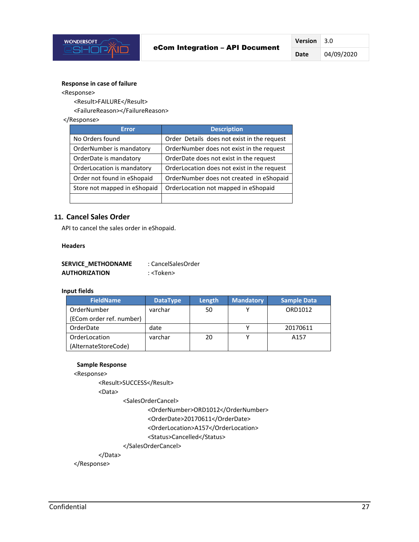

#### **Response in case of failure**

<Response>

<Result>FAILURE</Result>

<FailureReason></FailureReason>

#### </Response>

| <b>Error</b>                 | <b>Description</b>                          |
|------------------------------|---------------------------------------------|
| No Orders found              | Order Details does not exist in the request |
| OrderNumber is mandatory     | OrderNumber does not exist in the request   |
| OrderDate is mandatory       | OrderDate does not exist in the request     |
| OrderLocation is mandatory   | OrderLocation does not exist in the request |
| Order not found in eShopaid  | OrderNumber does not created in eShopaid    |
| Store not mapped in eShopaid | OrderLocation not mapped in eShopaid        |
|                              |                                             |

## <span id="page-26-0"></span>**11. Cancel Sales Order**

API to cancel the sales order in eShopaid.

#### **Headers**

| <b>SERVICE METHODNAME</b> | : CancelSalesOrder |
|---------------------------|--------------------|
| <b>AUTHORIZATION</b>      | : <token></token>  |

#### **Input fields**

| <b>FieldName</b>         | <b>DataType</b> | Length | <b>Mandatory</b> | <b>Sample Data</b> |
|--------------------------|-----------------|--------|------------------|--------------------|
| OrderNumber              | varchar         | 50     |                  | ORD1012            |
| (ECom order ref. number) |                 |        |                  |                    |
| OrderDate                | date            |        | v                | 20170611           |
| OrderLocation            | varchar         | 20     |                  | A <sub>157</sub>   |
| (AlternateStoreCode)     |                 |        |                  |                    |

#### **Sample Response**

<Response>

<Result>SUCCESS</Result>

<Data>

<SalesOrderCancel>

<OrderNumber>ORD1012</OrderNumber>

<OrderDate>20170611</OrderDate>

<OrderLocation>A157</OrderLocation>

<Status>Cancelled</Status>

</SalesOrderCancel>

</Data>

</Response>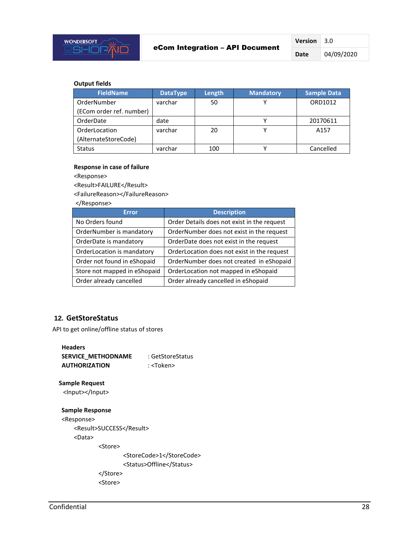

**Version** 3.0 **Date** 04/09/2020

#### **Output fields**

| <b>FieldName</b>         | <b>DataType</b> | Length | <b>Mandatory</b> | <b>Sample Data</b> |
|--------------------------|-----------------|--------|------------------|--------------------|
| OrderNumber              | varchar         | 50     |                  | ORD1012            |
| (ECom order ref. number) |                 |        |                  |                    |
| OrderDate                | date            |        |                  | 20170611           |
| OrderLocation            | varchar         | 20     |                  | A <sub>157</sub>   |
| (AlternateStoreCode)     |                 |        |                  |                    |
| <b>Status</b>            | varchar         | 100    |                  | Cancelled          |

#### **Response in case of failure**

<Response>

<Result>FAILURE</Result>

<FailureReason></FailureReason>

</Response>

| <b>Error</b>                 | <b>Description</b>                          |
|------------------------------|---------------------------------------------|
| No Orders found              | Order Details does not exist in the request |
| OrderNumber is mandatory     | OrderNumber does not exist in the request   |
| OrderDate is mandatory       | OrderDate does not exist in the request     |
| OrderLocation is mandatory   | OrderLocation does not exist in the request |
| Order not found in eShopaid  | OrderNumber does not created in eShopaid    |
| Store not mapped in eShopaid | OrderLocation not mapped in eShopaid        |
| Order already cancelled      | Order already cancelled in eShopaid         |

## <span id="page-27-0"></span>**12. GetStoreStatus**

API to get online/offline status of stores

| <b>Headers</b>       |                   |
|----------------------|-------------------|
| SERVICE METHODNAME   | : GetStoreStatus  |
| <b>AUTHORIZATION</b> | : <token></token> |

## **Sample Request**

<Input></Input>

## **Sample Response**

<Response> <Result>SUCCESS</Result> <Data> <Store>

> <StoreCode>1</StoreCode> <Status>Offline</Status> </Store> <Store>